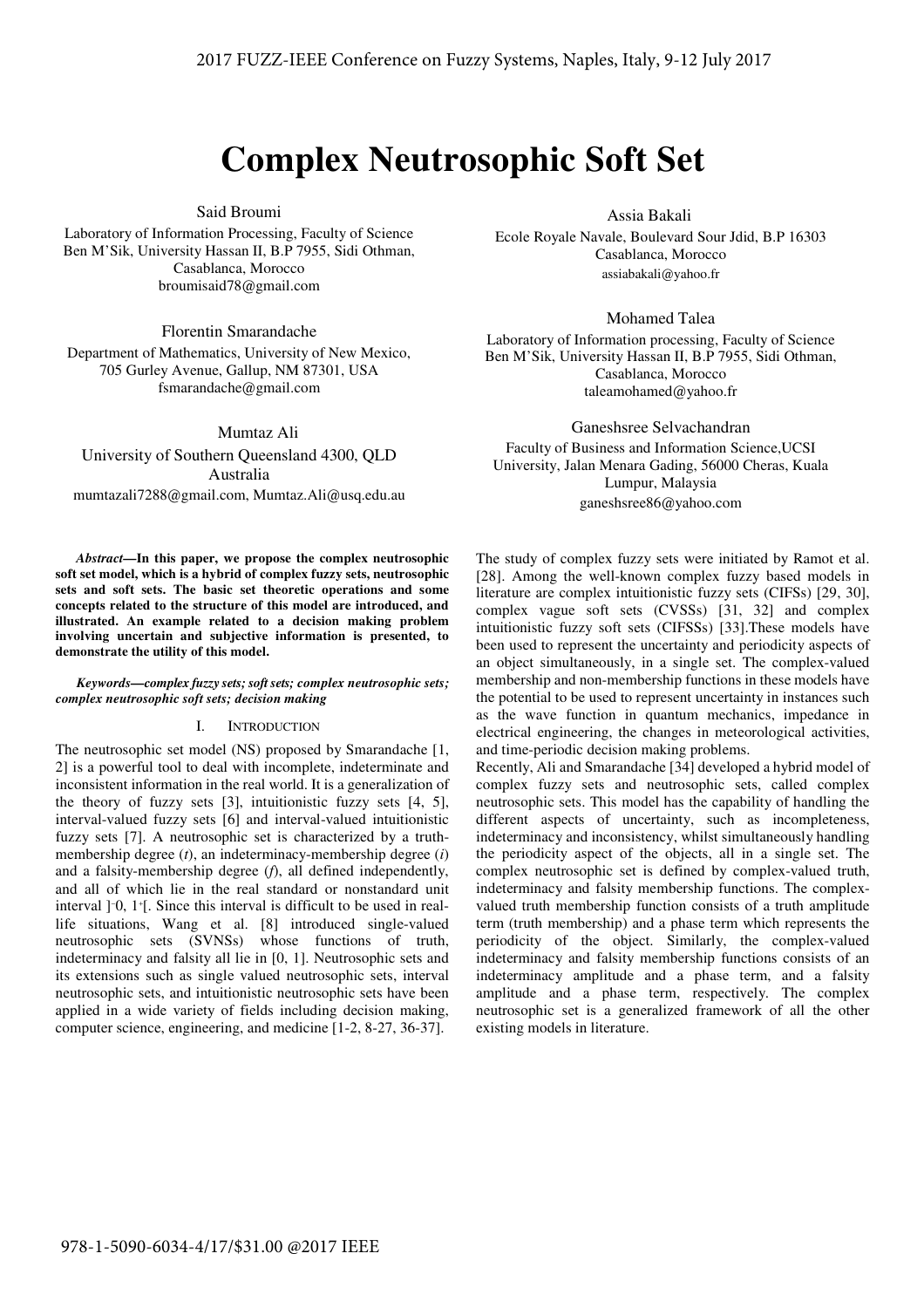# **Complex Neutrosophic Soft Set**

### Said Broumi

Laboratory of Information Processing, Faculty of Science Ben M'Sik, University Hassan II, B.P 7955, Sidi Othman, Casablanca, Morocco broumisaid78@gmail.com

Florentin Smarandache

Department of Mathematics, University of New Mexico, 705 Gurley Avenue, Gallup, NM 87301, USA fsmarandache@gmail.com

Mumtaz Ali

University of Southern Queensland 4300, QLD Australia mumtazali7288@gmail.com, Mumtaz.Ali@usq.edu.au

*Abstract***—In this paper, we propose the complex neutrosophic soft set model, which is a hybrid of complex fuzzy sets, neutrosophic sets and soft sets. The basic set theoretic operations and some concepts related to the structure of this model are introduced, and illustrated. An example related to a decision making problem involving uncertain and subjective information is presented, to demonstrate the utility of this model.** 

#### *Keywords—complex fuzzy sets; soft sets; complex neutrosophic sets; complex neutrosophic soft sets; decision making*

#### I. INTRODUCTION

The neutrosophic set model (NS) proposed by Smarandache [1, 2] is a powerful tool to deal with incomplete, indeterminate and inconsistent information in the real world. It is a generalization of the theory of fuzzy sets [3], intuitionistic fuzzy sets [4, 5], interval-valued fuzzy sets [6] and interval-valued intuitionistic fuzzy sets [7]. A neutrosophic set is characterized by a truthmembership degree (*t*), an indeterminacy-membership degree (*i*) and a falsity-membership degree (*f*), all defined independently, and all of which lie in the real standard or nonstandard unit interval ]−0, 1<sup>+</sup> [. Since this interval is difficult to be used in reallife situations, Wang et al. [8] introduced single-valued neutrosophic sets (SVNSs) whose functions of truth, indeterminacy and falsity all lie in [0, 1]. Neutrosophic sets and its extensions such as single valued neutrosophic sets, interval neutrosophic sets, and intuitionistic neutrosophic sets have been applied in a wide variety of fields including decision making, computer science, engineering, and medicine [1-2, 8-27, 36-37].

Assia Bakali

Ecole Royale Navale, Boulevard Sour Jdid, B.P 16303 Casablanca, Morocco assiabakali@yahoo.fr

Mohamed Talea

Laboratory of Information processing, Faculty of Science Ben M'Sik, University Hassan II, B.P 7955, Sidi Othman, Casablanca, Morocco taleamohamed@yahoo.fr

Ganeshsree Selvachandran Faculty of Business and Information Science,UCSI University, Jalan Menara Gading, 56000 Cheras, Kuala Lumpur, Malaysia ganeshsree86@yahoo.com

The study of complex fuzzy sets were initiated by Ramot et al. [28]. Among the well-known complex fuzzy based models in literature are complex intuitionistic fuzzy sets (CIFSs) [29, 30], complex vague soft sets (CVSSs) [31, 32] and complex intuitionistic fuzzy soft sets (CIFSSs) [33].These models have been used to represent the uncertainty and periodicity aspects of an object simultaneously, in a single set. The complex-valued membership and non-membership functions in these models have the potential to be used to represent uncertainty in instances such as the wave function in quantum mechanics, impedance in electrical engineering, the changes in meteorological activities, and time-periodic decision making problems.

Recently, Ali and Smarandache [34] developed a hybrid model of complex fuzzy sets and neutrosophic sets, called complex neutrosophic sets. This model has the capability of handling the different aspects of uncertainty, such as incompleteness, indeterminacy and inconsistency, whilst simultaneously handling the periodicity aspect of the objects, all in a single set. The complex neutrosophic set is defined by complex-valued truth, indeterminacy and falsity membership functions. The complexvalued truth membership function consists of a truth amplitude term (truth membership) and a phase term which represents the periodicity of the object. Similarly, the complex-valued indeterminacy and falsity membership functions consists of an indeterminacy amplitude and a phase term, and a falsity amplitude and a phase term, respectively. The complex neutrosophic set is a generalized framework of all the other existing models in literature.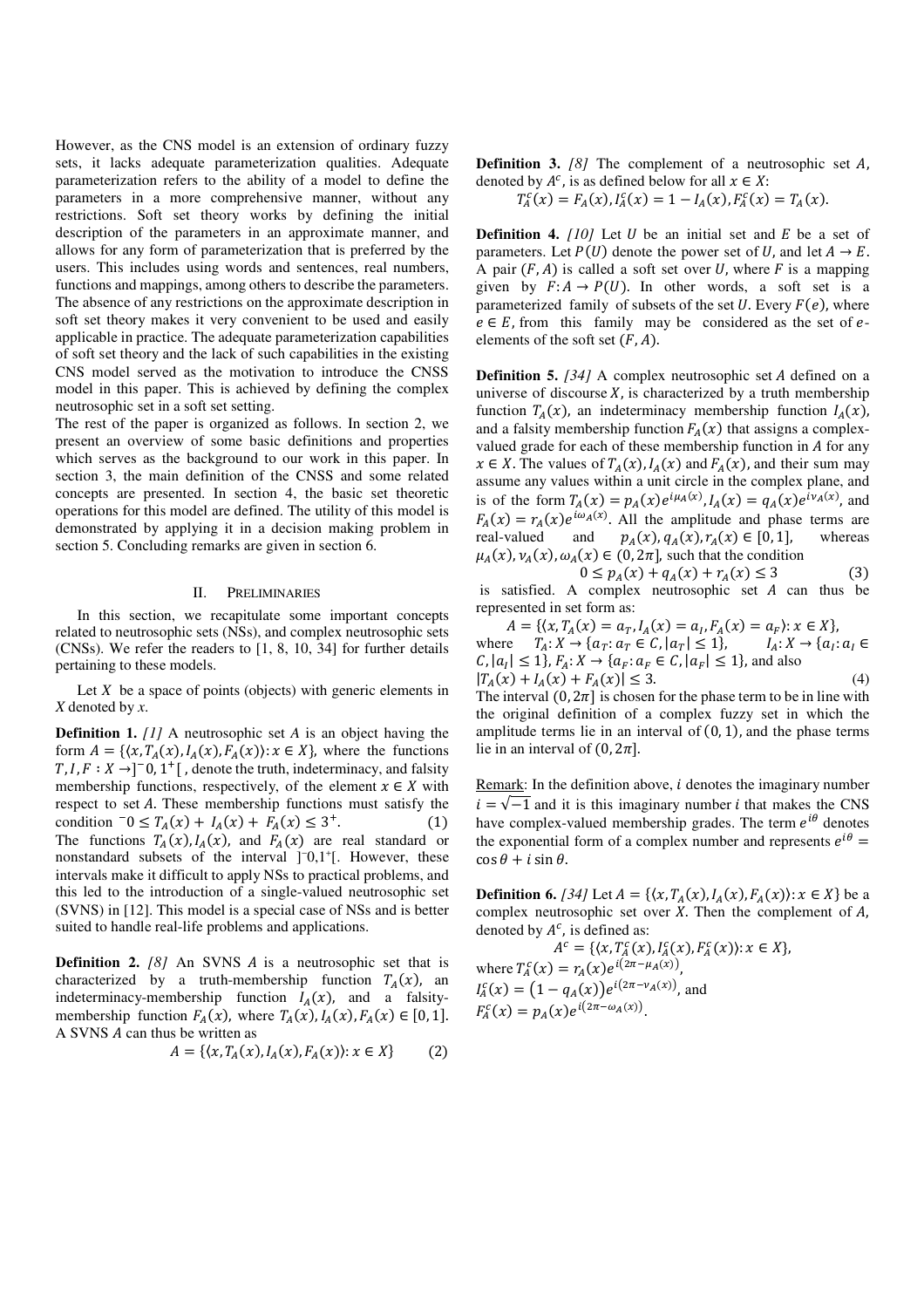However, as the CNS model is an extension of ordinary fuzzy sets, it lacks adequate parameterization qualities. Adequate parameterization refers to the ability of a model to define the parameters in a more comprehensive manner, without any restrictions. Soft set theory works by defining the initial description of the parameters in an approximate manner, and allows for any form of parameterization that is preferred by the users. This includes using words and sentences, real numbers, functions and mappings, among others to describe the parameters. The absence of any restrictions on the approximate description in soft set theory makes it very convenient to be used and easily applicable in practice. The adequate parameterization capabilities of soft set theory and the lack of such capabilities in the existing CNS model served as the motivation to introduce the CNSS model in this paper. This is achieved by defining the complex neutrosophic set in a soft set setting.

The rest of the paper is organized as follows. In section 2, we present an overview of some basic definitions and properties which serves as the background to our work in this paper. In section 3, the main definition of the CNSS and some related concepts are presented. In section 4, the basic set theoretic operations for this model are defined. The utility of this model is demonstrated by applying it in a decision making problem in section 5. Concluding remarks are given in section 6.

#### II. PRELIMINARIES

In this section, we recapitulate some important concepts related to neutrosophic sets (NSs), and complex neutrosophic sets (CNSs). We refer the readers to [1, 8, 10, 34] for further details pertaining to these models.

Let  $X$  be a space of points (objects) with generic elements in *X* denoted by *x*.

**Definition 1.** *[1]* A neutrosophic set *A* is an object having the form  $A = \{ (x, T_A(x), I_A(x), F_A(x)) : x \in X \}$ , where the functions  $T, I, F: X \rightarrow ]-0, 1^+[$ , denote the truth, indeterminacy, and falsity membership functions, respectively, of the element  $x \in X$  with respect to set  $A$ . These membership functions must satisfy the condition  $-0 \leq T_A(x) + I_A(x) + F_A(x) \leq 3^+$ .  $(1)$ The functions  $T_A(x)$ ,  $I_A(x)$ , and  $F_A(x)$  are real standard or nonstandard subsets of the interval ]<sup>-</sup>0,1<sup>+</sup>[. However, these intervals make it difficult to apply NSs to practical problems, and this led to the introduction of a single-valued neutrosophic set (SVNS) in [12]. This model is a special case of NSs and is better suited to handle real-life problems and applications.

**Definition 2.** *[8]* An SVNS *A* is a neutrosophic set that is characterized by a truth-membership function  $T_A(x)$ , an indeterminacy-membership function  $I_A(x)$ , and a falsitymembership function  $F_A(x)$ , where  $T_A(x)$ ,  $I_A(x)$ ,  $F_A(x) \in [0, 1]$ . A SVNS A can thus be written as

$$
A = \{ (x, T_A(x), I_A(x), F_A(x)) : x \in X \}
$$
 (2)

**Definition 3.**  $[8]$  The complement of a neutrosophic set  $A$ , denoted by  $A^c$ , is as defined below for all  $x \in X$ :

$$
T_A^c(x) = F_A(x), I_A^c(x) = 1 - I_A(x), F_A^c(x) = T_A(x).
$$

**Definition 4.**  $[10]$  Let U be an initial set and E be a set of parameters. Let  $P(U)$  denote the power set of U, and let  $A \to E$ . A pair  $(F, A)$  is called a soft set over U, where F is a mapping given by  $F: A \to P(U)$ . In other words, a soft set is a parameterized family of subsets of the set  $U$ . Every  $F(e)$ , where  $e \in E$ , from this family may be considered as the set of  $e$ elements of the soft set  $(F, A)$ .

**Definition 5.** [34] A complex neutrosophic set *A* defined on a universe of discourse  $X$ , is characterized by a truth membership function  $T_A(x)$ , an indeterminacy membership function  $I_A(x)$ , and a falsity membership function  $F_A(x)$  that assigns a complexvalued grade for each of these membership function in  $A$  for any  $x \in X$ . The values of  $T_A(x)$ ,  $I_A(x)$  and  $F_A(x)$ , and their sum may assume any values within a unit circle in the complex plane, and is of the form  $T_A(x) = p_A(x)e^{i\mu_A(x)}$ ,  $I_A(x) = q_A(x)e^{i\nu_A(x)}$ , and  $F_A(x) = r_A(x)e^{i\omega_A(x)}$ . All the amplitude and phase terms are real-valued and  $(x), q_A(x), r_A(x) \in [0, 1],$  whereas  $\mu_A(x), \nu_A(x), \omega_A(x) \in (0, 2\pi]$ , such that the condition

 $0 \leq p_A(x) + q_A(x) + r_A(x)$  ≤ 3 3  $(3)$ is satisfied. A complex neutrosophic set  $A$  can thus be represented in set form as:

 $A = \{ (x, T_A(x)) = a_T, I_A(x) = a_I, F_A(x) = a_F \}$ :  $x \in X \}$ , where  $T_A: X \to \{a_T: a_T \in C, |a_T| \leq 1\},\$  $I_A: X \to \{a_I : a_I \in$  $C, |a_I| \le 1\}, F_A: X \to \{a_F: a_F \in C, |a_F| \le 1\}$ , and also  $|T_A(x) + I_A(x) + F_A(x)| \leq 3.$  (4) The interval  $(0, 2\pi)$  is chosen for the phase term to be in line with the original definition of a complex fuzzy set in which the amplitude terms lie in an interval of  $(0, 1)$ , and the phase terms lie in an interval of  $(0, 2\pi]$ .

Remark: In the definition above,  $i$  denotes the imaginary number  $i = \sqrt{-1}$  and it is this imaginary number *i* that makes the CNS have complex-valued membership grades. The term  $e^{i\theta}$  denotes the exponential form of a complex number and represents  $e^{i\theta}$  =  $\cos \theta + i \sin \theta$ .

**Definition 6.** [34] Let  $A = \{(x, T_A(x), I_A(x), F_A(x)) : x \in X\}$  be a complex neutrosophic set over  $X$ . Then the complement of  $A$ , denoted by  $A^c$ , is defined as:

 $A^c = \{ (x, T_A^c(x), I_A^c(x), F_A^c(x)) : x \in X \},\$ where  $T_A^c(x) = r_A(x)e^{i(2\pi - \mu_A(x))}$ ,  $I_A^c(x) = (1 - q_A(x))e^{i(2\pi - v_A(x))}$ , and  $F_A^c(x) = p_A(x) e^{i(2\pi - \omega_A(x))}.$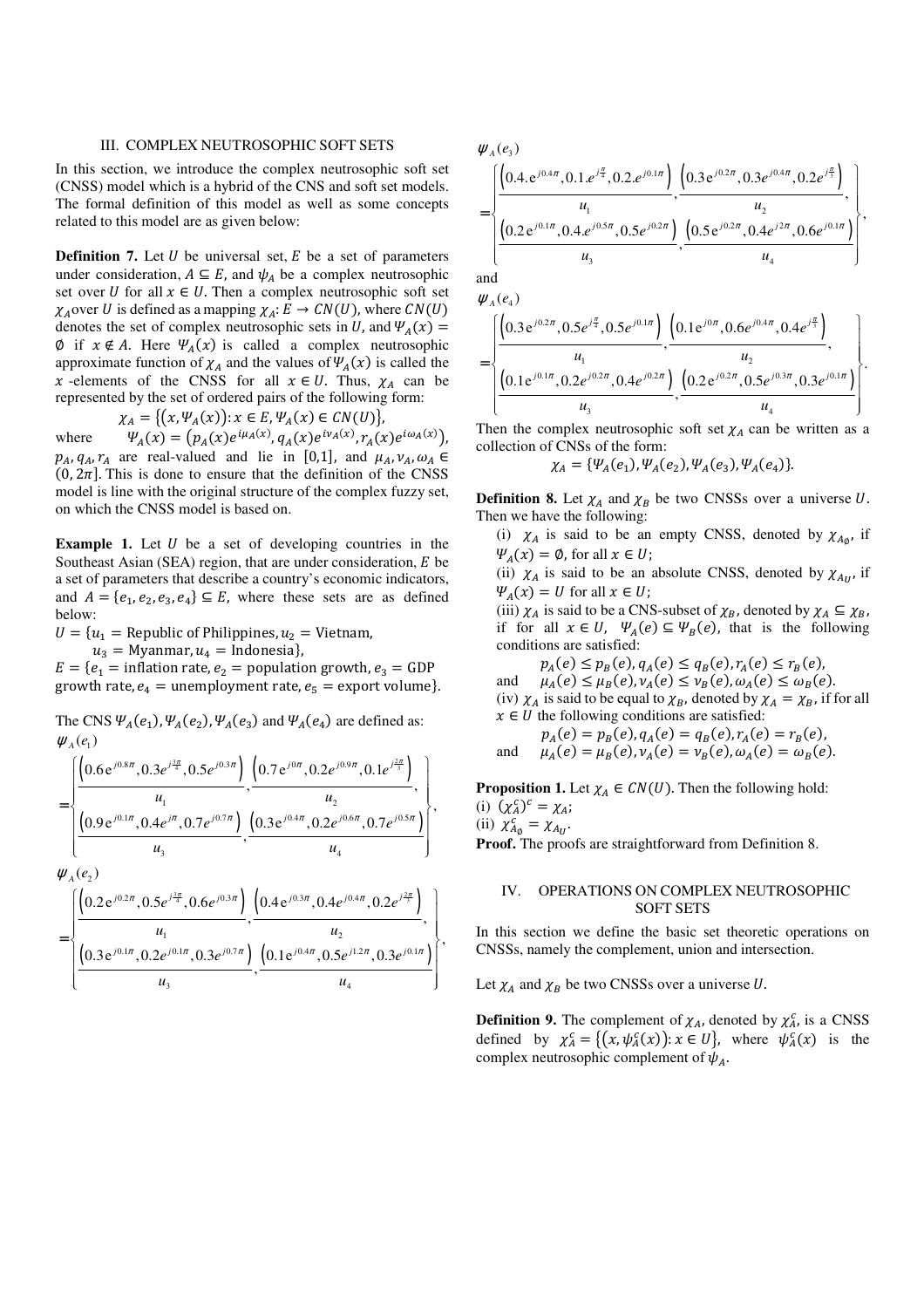# III. COMPLEX NEUTROSOPHIC SOFT SETS

In this section, we introduce the complex neutrosophic soft set (CNSS) model which is a hybrid of the CNS and soft set models. The formal definition of this model as well as some concepts related to this model are as given below:

**Definition 7.** Let  $U$  be universal set,  $E$  be a set of parameters under consideration,  $A \subseteq E$ , and  $\psi_A$  be a complex neutrosophic set over U for all  $x \in U$ . Then a complex neutrosophic soft set  $\chi_A$  over U is defined as a mapping  $\chi_A: E \to CN(U)$ , where  $CN(U)$ denotes the set of complex neutrosophic sets in U, and  $\Psi_A(x) =$  $\emptyset$  if  $x \notin A$ . Here  $\Psi_A(x)$  is called a complex neutrosophic approximate function of  $\chi_A$  and the values of  $\Psi_A(x)$  is called the x -elements of the CNSS for all  $x \in U$ . Thus,  $\chi_A$  can be represented by the set of ordered pairs of the following form:

$$
\chi_A = \{ \big(x, \Psi_A(x)\big) : x \in E, \Psi_A(x) \in CN(U) \},
$$

where  $f(x) = (p_A(x)e^{i\mu_A(x)}, q_A(x)e^{i\nu_A(x)}, r_A(x)e^{i\omega_A(x)}),$  $p_A$ ,  $q_A$ ,  $r_A$  are real-valued and lie in [0,1], and  $\mu_A$ ,  $\nu_A$ ,  $\omega_A \in$  $(0, 2\pi]$ . This is done to ensure that the definition of the CNSS model is line with the original structure of the complex fuzzy set, on which the CNSS model is based on.

**Example 1.** Let  $U$  be a set of developing countries in the Southeast Asian (SEA) region, that are under consideration,  $E$  be a set of parameters that describe a country's economic indicators, and  $A = \{e_1, e_2, e_3, e_4\} \subseteq E$ , where these sets are as defined below:

 $U = \{u_1 = \text{Republic of Philippines}, u_2 = \text{Vietnam},\}$ 

 $u_3$  = Myanmar,  $u_4$  = Indonesia},

 $E = \{e_1 = \text{inflation rate}, e_2 = \text{population growth}, e_3 = \text{GDP}\}$ growth rate,  $e_4$  = unemployment rate,  $e_5$  = export volume).

The CNS  $\Psi_A(e_1), \Psi_A(e_2), \Psi_A(e_3)$  and  $\Psi_A(e_4)$  are defined as:  $\psi_A(e_1)$ 

$$
= \begin{bmatrix} \left(0.6 e^{j0.8\pi}, 0.3 e^{j\frac{3\pi}{4}}, 0.5 e^{j0.3\pi}\right) & \left(0.7 e^{j0\pi}, 0.2 e^{j0.9\pi}, 0.1 e^{j\frac{2\pi}{3}}\right) \\ u_1 & u_2 \\ \left(\frac{0.9 e^{j0.1\pi}, 0.4 e^{j\pi}, 0.7 e^{j0.7\pi}}{u_3}, \frac{\left(0.3 e^{j0.4\pi}, 0.2 e^{j0.6\pi}, 0.7 e^{j0.5\pi}\right)}{u_4}\right), \end{bmatrix}
$$

 $\psi_{A}(e_{2})$ 

$$
= \left\{\frac{\left(0.2 e^{j0.2\pi}, 0.5 e^{j\frac{3\pi}{4}}, 0.6 e^{j0.3\pi}\right)}{u_1}, \frac{\left(0.4 e^{j0.3\pi}, 0.4 e^{j0.4\pi}, 0.2 e^{j\frac{2\pi}{3}}\right)}{u_2}, \frac{u_2}{u_3}, \frac{\left(0.1 e^{j0.4\pi}, 0.5 e^{j1.2\pi}, 0.3 e^{j0.1\pi}\right)}{u_4}\right\},\frac{u_2}{u_4}\right\}
$$

$$
\mathcal{W}_{A}(e_{3})
$$
\n
$$
= \left\{\n\frac{\left(0.4 e^{j0.4\pi}, 0.1 e^{j\frac{\pi}{4}}, 0.2 e^{j0.1\pi}\right)}{u_{1}},\n\frac{\left(0.3 e^{j0.2\pi}, 0.3 e^{j0.4\pi}, 0.2 e^{j\frac{\pi}{3}}\right)}{u_{2}},\n\left[\n\frac{\left(0.2 e^{j0.1\pi}, 0.4 e^{j0.5\pi}, 0.5 e^{j0.2\pi}\right)}{u_{3}},\n\frac{\left(0.5 e^{j0.2\pi}, 0.4 e^{j2\pi}, 0.6 e^{j0.1\pi}\right)}{u_{4}}\n\right\}
$$

,

and

$$
\mathcal{W}_{A}(e_{4})
$$
\n
$$
= \left\{\n\frac{\left(0.3 e^{j0.2\pi}, 0.5 e^{j\frac{\pi}{4}}, 0.5 e^{j0.1\pi}\right)}{u_{1}},\n\frac{\left(0.1 e^{j0\pi}, 0.6 e^{j0.4\pi}, 0.4 e^{j\frac{\pi}{3}}\right)}{u_{2}},\n\left[\n\frac{0.1 e^{j0.1\pi}, 0.2 e^{j0.2\pi}, 0.4 e^{j0.2\pi}\right)}{u_{3}},\n\frac{\left(0.2 e^{j0.2\pi}, 0.5 e^{j0.3\pi}, 0.3 e^{j0.1\pi}\right)}{u_{4}}\n\right\}.
$$

Then the complex neutrosophic soft set  $\chi_A$  can be written as a collection of CNSs of the form:

$$
\chi_A = \{\Psi_A(e_1), \Psi_A(e_2), \Psi_A(e_3), \Psi_A(e_4)\}.
$$

**Definition 8.** Let  $\chi_A$  and  $\chi_B$  be two CNSSs over a universe U. Then we have the following:

(i)  $\chi_A$  is said to be an empty CNSS, denoted by  $\chi_{A_\phi}$ , if  $\Psi_A(x) = \emptyset$ , for all  $x \in U$ ;

(ii)  $\chi_A$  is said to be an absolute CNSS, denoted by  $\chi_{A_U}$ , if  $\Psi_A(x) = U$  for all  $x \in U$ ;

(iii)  $\chi_A$  is said to be a CNS-subset of  $\chi_B$ , denoted by  $\chi_A \subseteq \chi_B$ , if for all  $x \in U$ ,  $\Psi_A(e) \subseteq \Psi_B(e)$ , that is the following conditions are satisfied:

 $p_A(e) \leq p_B(e), q_A(e) \leq q_B(e), r_A(e) \leq r_B(e),$ 

and  $\mu_A(e) \leq \mu_B(e), \nu_A(e) \leq \nu_B(e), \omega_A(e) \leq \omega_B(e).$ (iv)  $\chi_A$  is said to be equal to  $\chi_B$ , denoted by  $\chi_A = \chi_B$ , if for all  $x \in U$  the following conditions are satisfied:

 $p_A(e) = p_B(e), q_A(e) = q_B(e), r_A(e) = r_B(e),$ and  $\mu_A(e) = \mu_B(e), \nu_A(e) = \nu_B(e), \omega_A(e) = \omega_B(e).$ 

**Proposition 1.** Let  $\chi_A \in CN(U)$ . Then the following hold: (i)  $(\chi_A^c)^c = \chi_A;$ 

(ii)  $\chi^c_{A\phi} = \chi_{A_U}$ .

**Proof.** The proofs are straightforward from Definition 8.

# IV. OPERATIONS ON COMPLEX NEUTROSOPHIC SOFT SETS

In this section we define the basic set theoretic operations on CNSSs, namely the complement, union and intersection.

Let  $\chi_A$  and  $\chi_B$  be two CNSSs over a universe U.

**Definition 9.** The complement of  $\chi_A$ , denoted by  $\chi_A^c$ , is a CNSS defined by  $\chi_A^c = \{ (x, \psi_A^c(x)) : x \in U \}$ , where  $\psi_A^c(x)$  is the complex neutrosophic complement of  $\psi_A$ .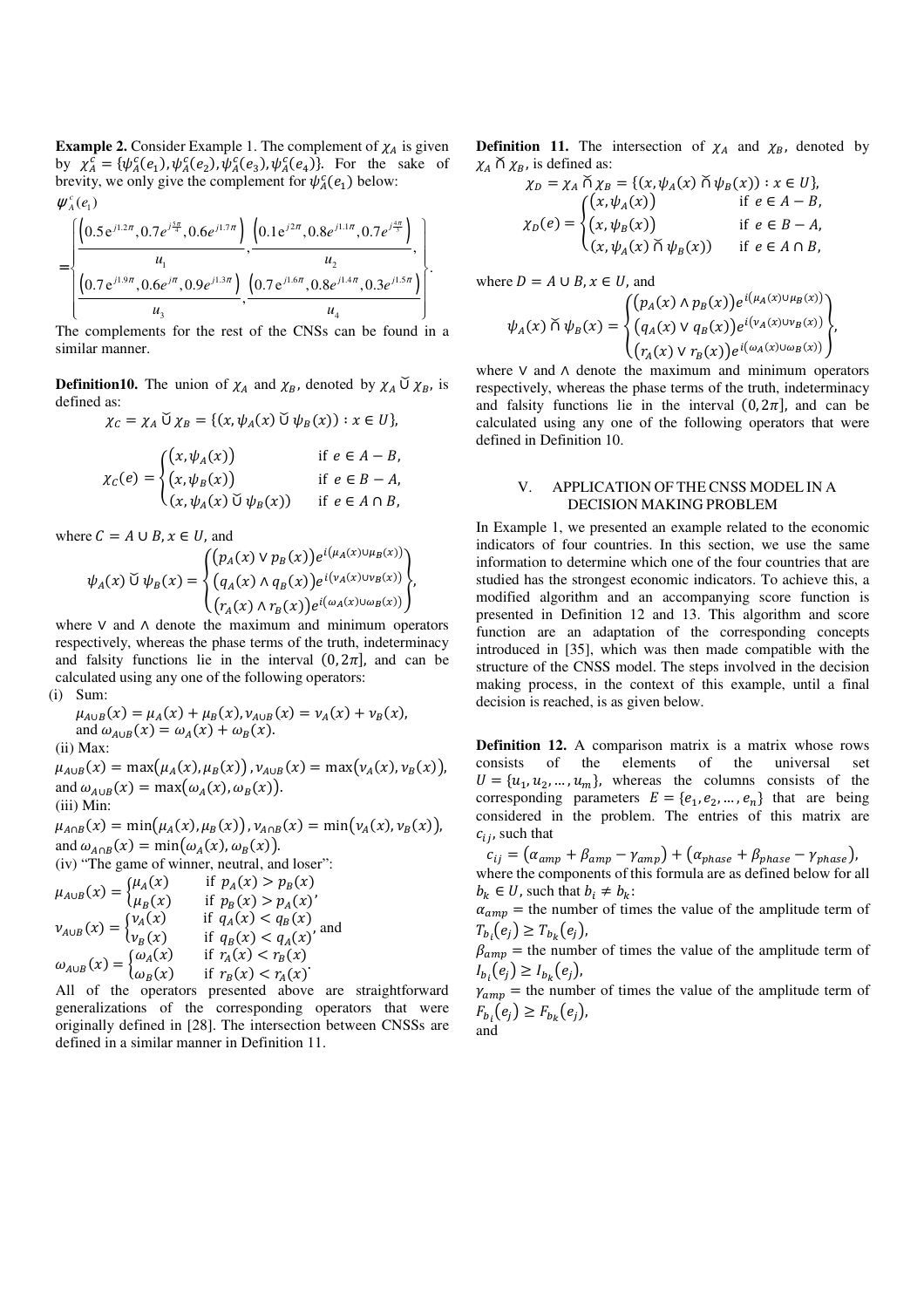**Example 2.** Consider Example 1. The complement of  $\chi_A$  is given by  $\chi_A^c = {\psi_A^c(e_1), \psi_A^c(e_2), \psi_A^c(e_3), \psi_A^c(e_4)}$ . For the sake of brevity, we only give the complement for  $\psi_A^c(e_1)$  below:  $\psi_{A}^{c}(e_{1})$ 

$$
= \left\{\frac{\left(0.5e^{j1.2\pi}, 0.7e^{j\frac{5\pi}{4}}, 0.6e^{j1.7\pi}\right)}{u_1}, \frac{\left(0.1e^{j2\pi}, 0.8e^{j1.1\pi}, 0.7e^{j\frac{4\pi}{3}}\right)}{u_2}, \frac{u_2}{\left(0.7e^{j1.9\pi}, 0.6e^{j\pi}, 0.9e^{j1.3\pi}\right)}\right\}}.
$$

The complements for the rest of the CNSs can be found in a similar manner.

**Definition10.** The union of  $\chi_A$  and  $\chi_B$ , denoted by  $\chi_A \mathsf{U} \chi_B$ , is defined as:

$$
\chi_C = \chi_A \cup \chi_B = \{ (x, \psi_A(x) \cup \psi_B(x)) : x \in U \},
$$
  
\n
$$
\chi_C(e) = \begin{cases} (x, \psi_A(x)) & \text{if } e \in A - B, \\ (x, \psi_B(x)) & \text{if } e \in B - A, \\ (x, \psi_A(x) \cup \psi_B(x)) & \text{if } e \in A \cap B, \end{cases}
$$

where  $C = A \cup B$ ,  $x \in U$ , and

$$
\psi_A(x) \breve{\cup} \psi_B(x) = \begin{cases} (p_A(x) \vee p_B(x)) e^{i(\mu_A(x) \cup \mu_B(x))} \\ (q_A(x) \wedge q_B(x)) e^{i(\nu_A(x) \cup \nu_B(x))} \\ (r_A(x) \wedge r_B(x)) e^{i(\omega_A(x) \cup \omega_B(x))} \end{cases},
$$

where ∨ and ∧ denote the maximum and minimum operators respectively, whereas the phase terms of the truth, indeterminacy and falsity functions lie in the interval  $(0, 2\pi)$ , and can be calculated using any one of the following operators: (i) Sum:

$$
\mu_{A\cup B}(x) = \mu_A(x) + \mu_B(x), \nu_{A\cup B}(x) = \nu_A(x) + \nu_B(x),
$$
  
and  $\omega_{A\cup B}(x) = \omega_A(x) + \omega_B(x).$   
(ii) Max:  

$$
\mu_{A\cup B}(x) = \max(\mu_A(x), \mu_B(x)), \nu_{A\cup B}(x) = \max(\nu_A(x), \nu_B(x)),
$$
  
and  $\omega_{A\cup B}(x) = \max(\omega_A(x), \omega_B(x)).$   
(iii) Min:

 $\mu_{A \cap B}(x) = \min(\mu_A(x), \mu_B(x))$ ,  $\nu_{A \cap B}(x) = \min(\nu_A(x), \nu_B(x))$ , and  $\omega_{A \cap B}(x) = \min(\omega_A(x), \omega_B(x)).$ (iv) "The game of winner, neutral, and loser":  $\mu_{A \cup B}(x) = \begin{cases} \mu_A(x) & \text{if } p_A(x) > p_B(x) \\ \mu_B(x) & \text{if } p_B(x) > p_A(x)' \end{cases}$ 

$$
\nu_{A \cup B}(x) = \begin{cases}\n\nu_A(x) & \text{if } q_A(x) < q_B(x) \\
\nu_B(x) & \text{if } q_B(x) < q_A(x) \\
\omega_{A \cup B}(x) = \begin{cases}\n\omega_A(x) & \text{if } r_A(x) < r_B(x) \\
\omega_B(x) & \text{if } r_B(x) < r_A(x)\n\end{cases}
$$

All of the operators presented above are straightforward generalizations of the corresponding operators that were originally defined in [28]. The intersection between CNSSs are defined in a similar manner in Definition 11.

**Definition 11.** The intersection of  $\chi_A$  and  $\chi_B$ , denoted by  $\chi_A$   $\uparrow \chi_B$ , is defined as:

$$
\chi_D = \chi_A \stackrel{\sim}{\wedge} \chi_B = \{ (x, \psi_A(x) \stackrel{\sim}{\wedge} \psi_B(x)) : x \in U \},
$$
  
\n
$$
\chi_D(e) = \begin{cases} (x, \psi_A(x)) & \text{if } e \in A - B, \\ (x, \psi_B(x)) & \text{if } e \in B - A, \\ (x, \psi_A(x) \stackrel{\sim}{\wedge} \psi_B(x)) & \text{if } e \in A \cap B, \end{cases}
$$

where  $D = A \cup B$ ,  $x \in U$ , and

$$
\psi_A(x) \cap \psi_B(x) = \begin{cases} (p_A(x) \wedge p_B(x)) e^{i(\mu_A(x) \cup \mu_B(x))} \\ (q_A(x) \vee q_B(x)) e^{i(\nu_A(x) \cup \nu_B(x))} \\ (r_A(x) \vee r_B(x)) e^{i(\omega_A(x) \cup \omega_B(x))} \end{cases},
$$

where ∨ and ∧ denote the maximum and minimum operators respectively, whereas the phase terms of the truth, indeterminacy and falsity functions lie in the interval  $(0, 2\pi)$ , and can be calculated using any one of the following operators that were defined in Definition 10.

## V. APPLICATION OF THE CNSS MODEL IN A DECISION MAKING PROBLEM

In Example 1, we presented an example related to the economic indicators of four countries. In this section, we use the same information to determine which one of the four countries that are studied has the strongest economic indicators. To achieve this, a modified algorithm and an accompanying score function is presented in Definition 12 and 13. This algorithm and score function are an adaptation of the corresponding concepts introduced in [35], which was then made compatible with the structure of the CNSS model. The steps involved in the decision making process, in the context of this example, until a final decision is reached, is as given below.

**Definition 12.** A comparison matrix is a matrix whose rows consists of the elements of the universal set  $U = \{u_1, u_2, ..., u_m\}$ , whereas the columns consists of the corresponding parameters  $E = \{e_1, e_2, ..., e_n\}$  that are being considered in the problem. The entries of this matrix are  $c_{ij}$ , such that

 $c_{ij} = \left(\alpha_{amp} + \beta_{amp} - \gamma_{amp}\right) + \left(\alpha_{phase} + \beta_{phase} - \gamma_{phase}\right),$ where the components of this formula are as defined below for all  $b_k \in U$ , such that  $b_i \neq b_k$ :

 $\alpha_{amp}$  = the number of times the value of the amplitude term of  $T_{b_i}(e_j) \geq T_{b_k}(e_j)$ ,

 $\beta_{amp}$  = the number of times the value of the amplitude term of  $l_{b_i}(e_j) \geq l_{b_k}(e_j)$ ,

 $\gamma_{amp}$  = the number of times the value of the amplitude term of  $F_{b_i}(e_j) \geq F_{b_k}(e_j)$ , and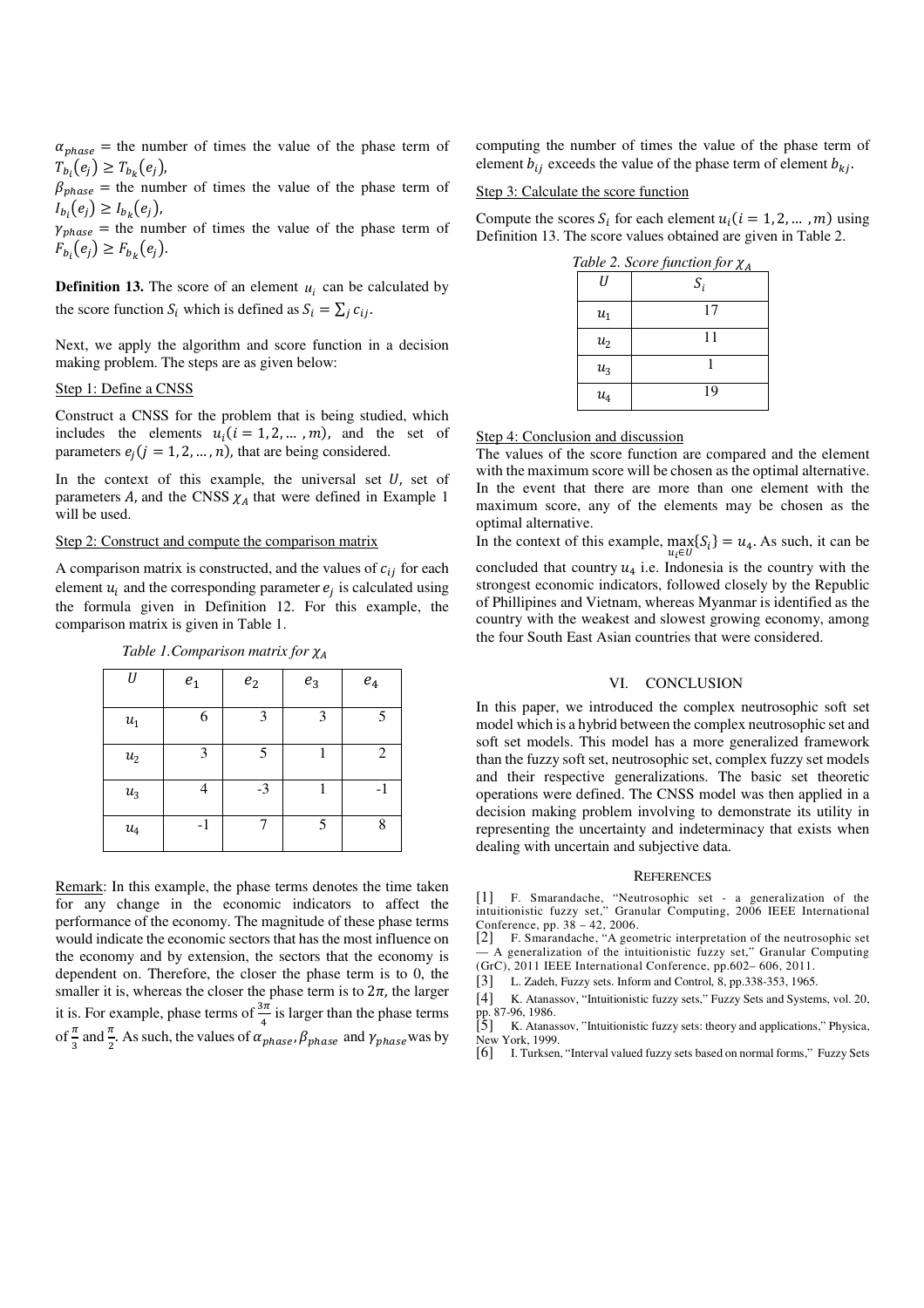$\alpha_{phase}$  = the number of times the value of the phase term of  $T_{b_i}(e_j) \geq T_{b_k}(e_j)$ ,

 $\beta_{phase}$  = the number of times the value of the phase term of  $I_{b_i}(e_j) \geq I_{b_k}(e_j)$ ,

 $\gamma_{phase}$  = the number of times the value of the phase term of  $F_{b_i}(e_j) \geq F_{b_k}(e_j).$ 

**Definition 13.** The score of an element  $u_i$  can be calculated by the score function  $S_i$  which is defined as  $S_i = \sum_j c_{ij}$ .

Next, we apply the algorithm and score function in a decision making problem. The steps are as given below:

#### Step 1: Define a CNSS

Construct a CNSS for the problem that is being studied, which includes the elements  $u_i$  ( $i = 1, 2, ... , m$ ), and the set of parameters  $e_j$  ( $j = 1, 2, ..., n$ ), that are being considered.

In the context of this example, the universal set  $U$ , set of parameters  $A$ , and the CNSS  $\chi_A$  that were defined in Example 1 will be used.

# Step 2: Construct and compute the comparison matrix

A comparison matrix is constructed, and the values of  $c_{ij}$  for each element  $u_i$  and the corresponding parameter  $e_j$  is calculated using the formula given in Definition 12. For this example, the comparison matrix is given in Table 1.

*Table 1. Comparison matrix for*  $\chi_A$ 

| II                 |       |                    |       |                  |
|--------------------|-------|--------------------|-------|------------------|
|                    | $e_1$ | $\boldsymbol{e}_2$ | $e_3$ | $\mathfrak{e}_4$ |
| $\boldsymbol{u}_1$ | 6     | 3                  | 3     | 5                |
| $\boldsymbol{u}_2$ | 3     | 5                  |       | 2                |
| $\boldsymbol{u}_3$ |       | $-3$               |       | $-1$             |
| $u_4$              | $-1$  |                    | 5     | Q                |

Remark: In this example, the phase terms denotes the time taken for any change in the economic indicators to affect the performance of the economy. The magnitude of these phase terms would indicate the economic sectors that has the most influence on the economy and by extension, the sectors that the economy is dependent on. Therefore, the closer the phase term is to 0, the smaller it is, whereas the closer the phase term is to  $2\pi$ , the larger it is. For example, phase terms of  $\frac{3\pi}{4}$  is larger than the phase terms of  $\frac{\pi}{3}$  and  $\frac{\pi}{2}$ . As such, the values of  $\alpha_{phase}$ ,  $\beta_{phase}$  and  $\gamma_{phase}$  was by

computing the number of times the value of the phase term of element  $b_{ij}$  exceeds the value of the phase term of element  $b_{ki}$ .

# Step 3: Calculate the score function

Compute the scores  $S_i$  for each element  $u_i$  ( $i = 1, 2, ... , m$ ) using Definition 13. The score values obtained are given in Table 2.

|                  | Table 2. Score function for $\chi_A$ |
|------------------|--------------------------------------|
| Н                | $S_i$                                |
| $u_1$            | 17                                   |
| $u_2$            | 11                                   |
| $u_3$            |                                      |
| $\mathfrak{u}_4$ | 19                                   |

|--|

The values of the score function are compared and the element with the maximum score will be chosen as the optimal alternative. In the event that there are more than one element with the maximum score, any of the elements may be chosen as the optimal alternative.

In the context of this example,  $\max_{u_i \in U} \{S_i\} = u_4$ . As such, it can be concluded that country  $u_4$  i.e. Indonesia is the country with the strongest economic indicators, followed closely by the Republic of Phillipines and Vietnam, whereas Myanmar is identified as the country with the weakest and slowest growing economy, among the four South East Asian countries that were considered.

#### VI. CONCLUSION

In this paper, we introduced the complex neutrosophic soft set model which is a hybrid between the complex neutrosophic set and soft set models. This model has a more generalized framework than the fuzzy soft set, neutrosophic set, complex fuzzy set models and their respective generalizations. The basic set theoretic operations were defined. The CNSS model was then applied in a decision making problem involving to demonstrate its utility in representing the uncertainty and indeterminacy that exists when dealing with uncertain and subjective data.

#### **REFERENCES**

[1] F. Smarandache, "Neutrosophic set - a generalization of the intuitionistic fuzzy set," Granular Computing, 2006 IEEE International

Conference, pp. 38 – 42, 2006. [2] F. Smarandache, "A geometric interpretation of the neutrosophic set — A generalization of the intuitionistic fuzzy set," Granular Computing (GrC), 2011 IEEE International Conference, pp.602– 606, 2011.

[3] L. Zadeh, Fuzzy sets. Inform and Control, 8, pp.338-353, 1965.

[4] K. Atanassov, "Intuitionistic fuzzy sets," Fuzzy Sets and Systems, vol. 20,

pp. 87-96, 1986.<br>[5] K. Atanassov, "Intuitionistic fuzzy sets: theory and applications," Physica, New York, 1999.

[6] I. Turksen, "Interval valued fuzzy sets based on normal forms," Fuzzy Sets